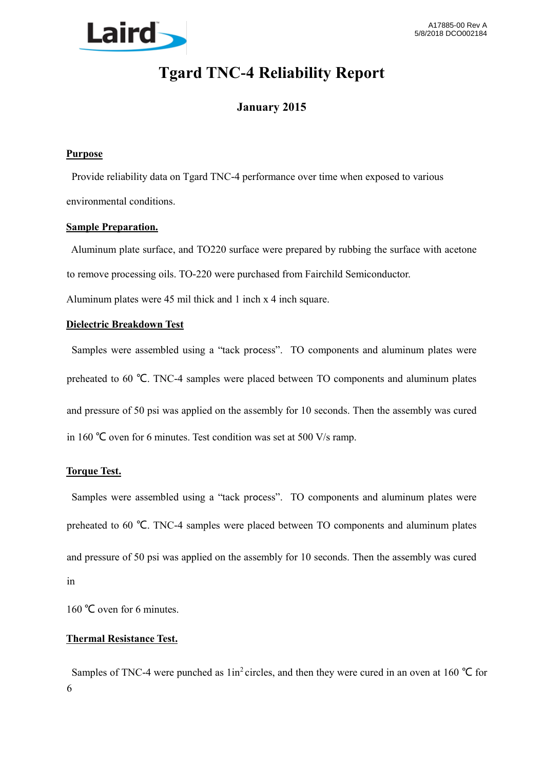

# **Tgard TNC-4 Reliability Report**

# **January 2015**

#### **Purpose**

 Provide reliability data on Tgard TNC-4 performance over time when exposed to various environmental conditions.

#### **Sample Preparation.**

 Aluminum plate surface, and TO220 surface were prepared by rubbing the surface with acetone to remove processing oils. TO-220 were purchased from Fairchild Semiconductor.

Aluminum plates were 45 mil thick and 1 inch x 4 inch square.

### **Dielectric Breakdown Test**

 Samples were assembled using a "tack process". TO components and aluminum plates were preheated to 60 °C. TNC-4 samples were placed between TO components and aluminum plates and pressure of 50 psi was applied on the assembly for 10 seconds. Then the assembly was cured in 160 ℃ oven for 6 minutes. Test condition was set at 500 V/s ramp.

## **Torque Test.**

 Samples were assembled using a "tack process". TO components and aluminum plates were preheated to 60 °C. TNC-4 samples were placed between TO components and aluminum plates and pressure of 50 psi was applied on the assembly for 10 seconds. Then the assembly was cured in

160 ℃ oven for 6 minutes.

#### **Thermal Resistance Test.**

Samples of TNC-4 were punched as  $1in^2$  circles, and then they were cured in an oven at 160 °C for 6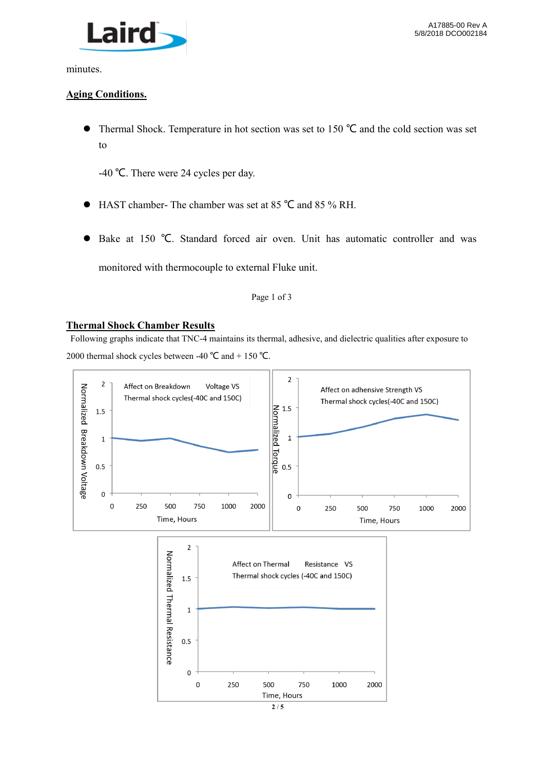

minutes.

#### **Aging Conditions.**

 Thermal Shock. Temperature in hot section was set to 150 ℃ and the cold section was set to

-40 ℃. There were 24 cycles per day.

- HAST chamber- The chamber was set at 85 ℃ and 85 % RH.
- Bake at 150 ℃. Standard forced air oven. Unit has automatic controller and was monitored with thermocouple to external Fluke unit.

#### Page 1 of 3

#### **Thermal Shock Chamber Results**

 Following graphs indicate that TNC-4 maintains its thermal, adhesive, and dielectric qualities after exposure to 2000 thermal shock cycles between -40 °C and + 150 °C.



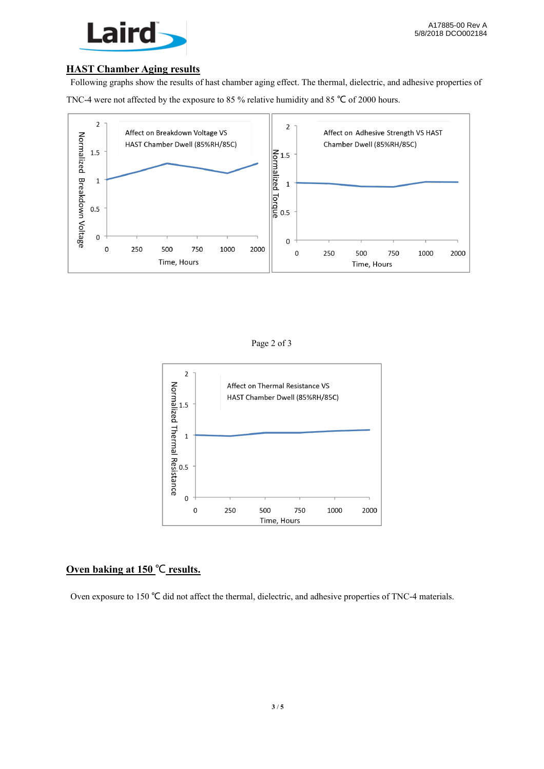

#### **HAST Chamber Aging results**

 Following graphs show the results of hast chamber aging effect. The thermal, dielectric, and adhesive properties of TNC-4 were not affected by the exposure to 85 % relative humidity and 85 ℃ of 2000 hours.



Page 2 of 3



### **Oven baking at 150** ℃ **results.**

Oven exposure to 150 ℃ did not affect the thermal, dielectric, and adhesive properties of TNC-4 materials.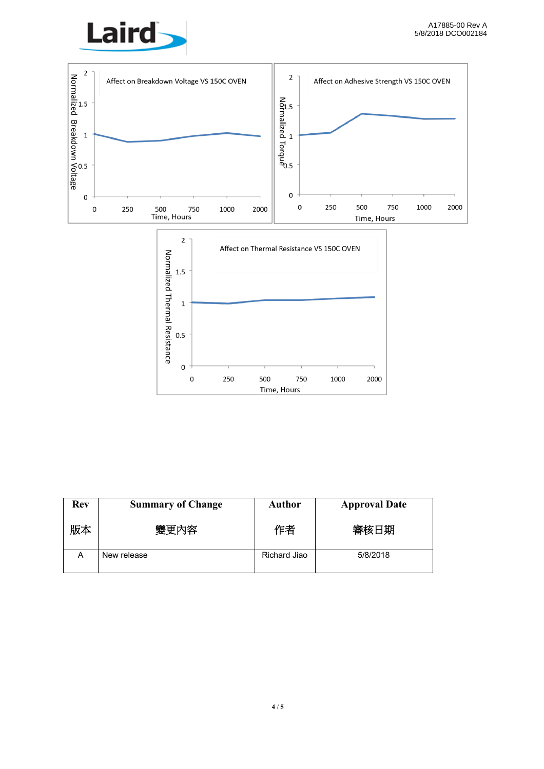





| <b>Rev</b> | <b>Summary of Change</b> | <b>Author</b> | <b>Approval Date</b> |
|------------|--------------------------|---------------|----------------------|
| 版本         | 變更內容                     | 作者            | 審核日期                 |
| Α          | New release              | Richard Jiao  | 5/8/2018             |